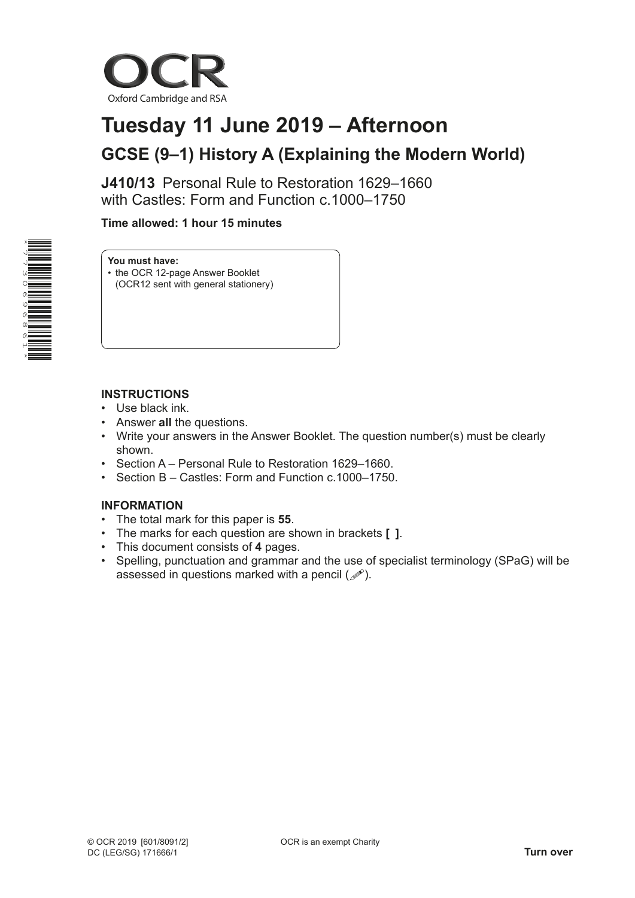

# **Tuesday 11 June 2019 – Afternoon GCSE (9–1) History A (Explaining the Modern World)**

**J410/13** Personal Rule to Restoration 1629–1660 with Castles: Form and Function c.1000–1750

## **Time allowed: 1 hour 15 minutes**



**You must have:**

• the OCR 12-page Answer Booklet (OCR12 sent with general stationery)

## **INSTRUCTIONS**

- Use black ink.
- Answer **all** the questions.
- Write your answers in the Answer Booklet. The question number(s) must be clearly shown.
- Section A Personal Rule to Restoration 1629–1660.
- Section B Castles: Form and Function c. 1000–1750.

## **INFORMATION**

- The total mark for this paper is **55**.
- The marks for each question are shown in brackets **[ ]**.
- This document consists of **4** pages.
- Spelling, punctuation and grammar and the use of specialist terminology (SPaG) will be assessed in questions marked with a pencil  $(\mathcal{P})$ .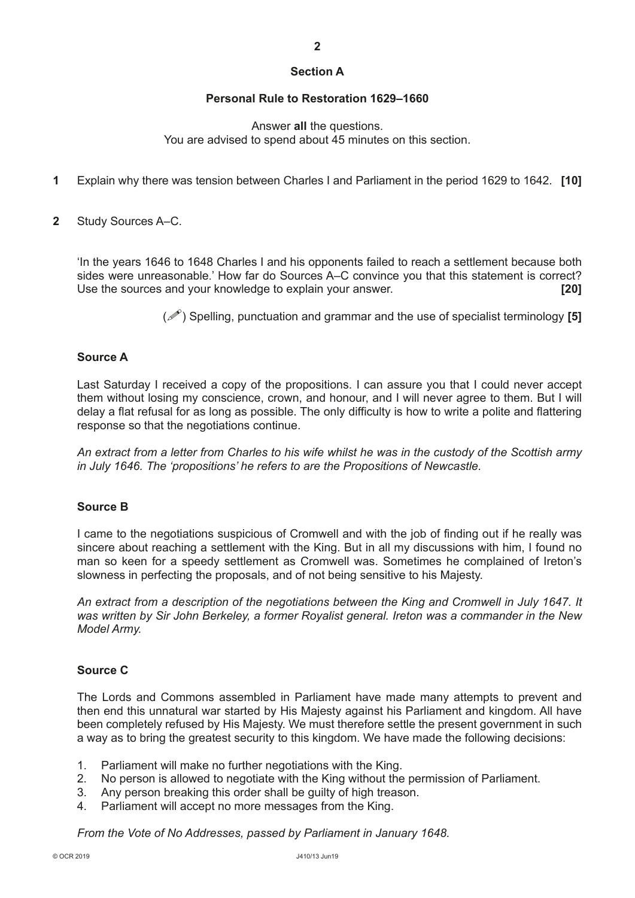## **Section A**

#### **Personal Rule to Restoration 1629–1660**

Answer **all** the questions. You are advised to spend about 45 minutes on this section.

- **1** Explain why there was tension between Charles I and Parliament in the period 1629 to 1642. **[10]**
- **2** Study Sources A–C.

'In the years 1646 to 1648 Charles I and his opponents failed to reach a settlement because both sides were unreasonable.' How far do Sources A–C convince you that this statement is correct? Use the sources and your knowledge to explain your answer. **[20]**

() Spelling, punctuation and grammar and the use of specialist terminology **[5]**

### **Source A**

Last Saturday I received a copy of the propositions. I can assure you that I could never accept them without losing my conscience, crown, and honour, and I will never agree to them. But I will delay a flat refusal for as long as possible. The only difficulty is how to write a polite and flattering response so that the negotiations continue.

*An extract from a letter from Charles to his wife whilst he was in the custody of the Scottish army in July 1646. The 'propositions' he refers to are the Propositions of Newcastle.*

## **Source B**

I came to the negotiations suspicious of Cromwell and with the job of finding out if he really was sincere about reaching a settlement with the King. But in all my discussions with him, I found no man so keen for a speedy settlement as Cromwell was. Sometimes he complained of Ireton's slowness in perfecting the proposals, and of not being sensitive to his Majesty.

*An extract from a description of the negotiations between the King and Cromwell in July 1647. It was written by Sir John Berkeley, a former Royalist general. Ireton was a commander in the New Model Army.*

#### **Source C**

The Lords and Commons assembled in Parliament have made many attempts to prevent and then end this unnatural war started by His Majesty against his Parliament and kingdom. All have been completely refused by His Majesty. We must therefore settle the present government in such a way as to bring the greatest security to this kingdom. We have made the following decisions:

- 1. Parliament will make no further negotiations with the King.
- 2. No person is allowed to negotiate with the King without the permission of Parliament.
- 3. Any person breaking this order shall be guilty of high treason.
- 4. Parliament will accept no more messages from the King.

*From the Vote of No Addresses, passed by Parliament in January 1648.*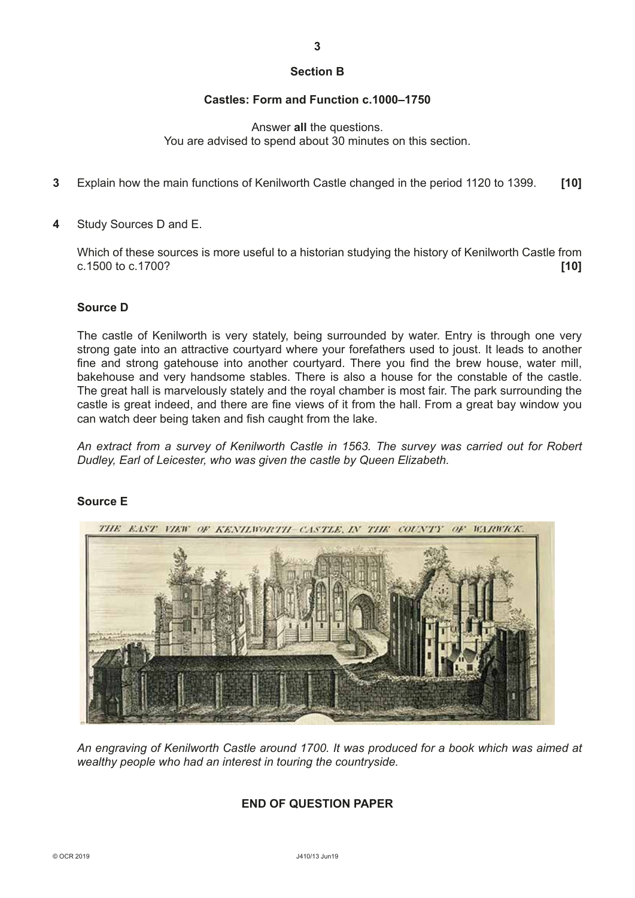## **Section B**

### **Castles: Form and Function c.1000–1750**

### Answer **all** the questions. You are advised to spend about 30 minutes on this section.

- **3** Explain how the main functions of Kenilworth Castle changed in the period 1120 to 1399. **[10]**
- **4** Study Sources D and E.

Which of these sources is more useful to a historian studying the history of Kenilworth Castle from c.1500 to c.1700? **[10]**

### **Source D**

The castle of Kenilworth is very stately, being surrounded by water. Entry is through one very strong gate into an attractive courtyard where your forefathers used to joust. It leads to another fine and strong gatehouse into another courtyard. There you find the brew house, water mill, bakehouse and very handsome stables. There is also a house for the constable of the castle. The great hall is marvelously stately and the royal chamber is most fair. The park surrounding the castle is great indeed, and there are fine views of it from the hall. From a great bay window you can watch deer being taken and fish caught from the lake.

*An extract from a survey of Kenilworth Castle in 1563. The survey was carried out for Robert Dudley, Earl of Leicester, who was given the castle by Queen Elizabeth.*



## **Source E**

*An engraving of Kenilworth Castle around 1700. It was produced for a book which was aimed at wealthy people who had an interest in touring the countryside.*

## **END OF QUESTION PAPER**